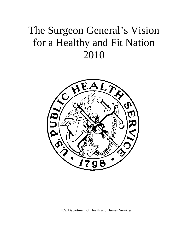# The Surgeon General's Vision for a Healthy and Fit Nation 2010



U.S. Department of Health and Human Services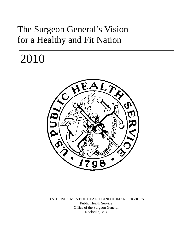## The Surgeon General's Vision for a Healthy and Fit Nation

# 2010



U.S. DEPARTMENT OF HEALTH AND HUMAN SERVICES Public Health Service Office of the Surgeon General Rockville, MD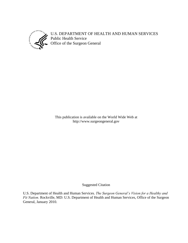

U.S. DEPARTMENT OF HEALTH AND HUMAN SERVICES Public Health Service Office of the Surgeon General

This publication is available on the World Wide Web at http://www.surgeongeneral.gov

Suggested Citation

U.S. Department of Health and Human Services. *The Surgeon General's Vision for a Healthy and Fit Nation.* Rockville, MD: U.S. Department of Health and Human Services, Office of the Surgeon General, January 2010.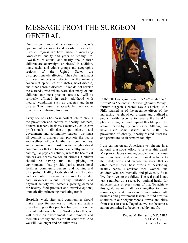### MESSAGE FROM THE SURGEON **GENERAL**

Our nation stands at a crossroads. Today's epidemic of overweight and obesity threatens the historic progress we have made in increasing American's quality and years of healthy life. Two-third of adults<sup>1</sup> and nearly one in three children are overweight or obese. $2$  In addition, many racial and ethnic groups and geographic regions of the United States are disproportionately affected.<sup>3</sup> The sobering impact of these numbers is reflected in the nation's concurrent epidemics of diabetes, heart disease, and other chronic diseases. If we do not reverse these trends, researchers warn that many of our children—our most precious resource—will be seriously afflicted in early adulthood with medical conditions such as diabetes and heart disease. This future is unacceptable. I ask you to join me in combating this crisis.

Every one of us has an important role to play in the prevention and control of obesity. Mothers, fathers, teachers, business executives, child care professionals, clinicians, politicians, and government and community leaders—we must all commit to changes that promote the health and wellness of our families and communities. As a nation, we must create neighborhood communities that are focused on healthy nutrition and regular physical activity, where the healthiest choices are accessible for all citizens. Children should be having fun and playing in environments that provide parks, recreational facilities, community centers, and walking and bike paths. Healthy foods should be affordable and accessible. Increased consumer knowledge and awareness about healthy nutrition and physical activity will foster a growing demand for healthy food products and exercise options, dramatically influencing marketing trends.

Hospitals, work sites, and communities should make it easy for mothers to initiate and sustain breastfeeding as this practice has been shown to prevent childhood obesity. Working together, we will create an environment that promotes and facilitates healthy choices for all Americans. And we will live longer and healthier lives.



In the 2001 *Surgeon General's Call to Action to Prevent and Decrease Overweight and Obesity* , former Surgeon General David Satcher, MD, PhD, warned us of the negative effects of the increasing weight of our citizens and outlined a public health response to reverse the trend.<sup>4</sup> I plan to strengthen and expand this blueprint for action created by my predecessor. Although we have made some strides since 2001, the prevalence of obesity, obesity-related diseases, and premature death remains too high.

I am calling on all Americans to join me in a national grassroots effort to reverse this trend. My plan includes showing people how to choose nutritious food, add more physical activity to their daily lives, and manage the stress that so often derails their best efforts at developing healthy habits. I envision men, women, and children who are mentally and physically fit to live their lives to the fullest. The real goal is not just a number on a scale, but optimal health for all Americans at every stage of life. To achieve this goal, we must all work together to share resources, educate our citizens, and partner with business and government leaders to find creative solutions in our neighborhoods, towns, and cities from coast to coast. Together, we can become a nation committed to become healthy and fit.

> Regina M. Benjamin, MD, MBA VADM, USPHS Surgeon General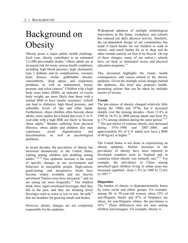# Background on **Obesity**

Obesity poses a major public health challenge. Each year, obesity contributes to an estimated  $112,000$  preventable deaths.<sup>5</sup> Obese adults are at increased risk for many serious health conditions, including high blood pressure, high cholesterol, type 2 diabetes and its complications, coronary heart disease, stroke, gallbladder disease, osteoarthritis, sleep apnea, and respiratory problems, as well as endometrial, breast, prostate, and colon cancers.<sup>6</sup> Children with a high body mass index (BMI), an indicator of excess body weight, are more likely than those with a normal BMI to have insulin resistance<sup>7</sup> (which can lead to diabetes), high blood pressure, and unhealthy levels of fats and other lipids. Furthermore, obese children often become obese adults; some studies have found that even 2- to 5 year-olds with a high BMI are likely to become obese adults.<sup>8</sup> Besides suffering from physical illnesses, obese adults and children also may experience social stigmatization and discrimination, as well as psychological problems.

In recent decades, the prevalence of obesity has increased dramatically in the United States, tripling among children and doubling among adults.1-2,9-10 This epidemic increase is the result of specific changes in our environment and behaviors in susceptible people. High-calorie, good-tasting, and inexpensive foods have become widely available and are heavily advertised. Portion sizes have increased, $11$  and we are eating out more frequently.<sup>12</sup> Our children drink more sugar-sweetened beverages than they did in the past, and they are drinking fewer beverages such as water or low or non- fat milk<sup>13</sup> that are healthier for growing minds and bodies.

However, dietary changes are not completely responsible for the epidemic.

Widespread adoption of multiple technological innovations in the home, workplace, and schools has reduced our daily physical activity. Similarly, the car-dependent design of our communities has made it much harder for our children to walk to school—and much harder for us to shop and do other errands entirely on foot or by bicycle. On top of these changes, many of our nation's schools have cut back or eliminated recess and physical education programs.<sup>14</sup>

This document highlights the trends, health consequences, and causes related to the obesity epidemic. Given the multiple social changes behind the epidemic, this brief also proposes healthpromoting actions that can be taken by multiple sectors of society.

#### **Trends**

The prevalence of obesity changed relatively little during the 1960s and 1970s, but it increased sharply over the ensuing decades—from 13.4% in 1980 to 34.3% in 2008 among adults and from 5% to 17% among children during the same period.<sup>1-2,9-</sup> <sup>10</sup> The prevalence of extreme obesity also increased during 1976–1980 and 2007–2008, and approximately 6% of U.S. adults now have a BMI of 40 kg/m2 or higher.<sup>15</sup>

The United States is not alone in experiencing an obesity epidemic. Similar increases in the prevalence of obesity have been reported in developed countries such as England and in countries where obesity was formerly rare.<sup>16-17</sup> For example, the prevalence in China among preschool-aged children living in urban areas has increased eightfold—from 1.5% in 1989 to 12.6% in 1997.18

#### **Disparities**

The burden of obesity is disproportionately borne by some racial and ethnic groups. For example, among 40- to 59-year-old women, about 52% of non-Hispanic blacks and 47% of Hispanics are obese; for non-Hispanic whites, the prevalence is 36%.19 These differences also are seen among children and teenagers. For example, obesity is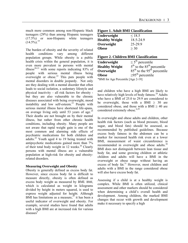much more common among non-Hispanic black teenagers (29%) than among Hispanic teenagers (17.5%) or non-Hispanic white teenagers  $(14.5\%)$ <sup>19</sup>

The burden of obesity and the severity of related health conditions vary among different population groups. While obesity is a public health crisis within the general population, it is even more prevalent in persons with mental illness<sup>20-21</sup> with some reports indicating  $83\%$  of people with serious mental illness being overweight or obese.<sup>22</sup> This puts people with mental disorders in double jeopardy. Not only are they dealing with a mental disorder that often leads to social isolation, a sedentary lifestyle and physical inactivity – all risk factors for obesity but they are also vulnerable to the chronic diseases associated with being overweight, mood instability and low self-esteem.<sup>23</sup> People with serious mental illness have shortened life-spans, on average living only until 53 years of age.<sup>24</sup> Their deaths are not brought on by their mental illness, but rather from other chronic health conditions, including obesity. Many people are not aware that rapid weight gain is one of the most common and alarming side effects of psychiatric medications for both children and adults.25 Youth aged 4 to 19 being treated with antipsychotic medications gained more than 7% of their total body weight in 12 weeks. $26$  Clearly persons with mental illness are a vulnerable population at high-risk for obesity and obesityrelated disorders.

#### **Measuring Overweight and Obesity**

Obesity is generally defined as excess body fat. However, since excess body fat is difficult to measure directly, obesity is often defined as excess body weight as measured by BMI. BMI, which is calculated as weight in kilograms divided by height in meters squared, is used to express weight adjusted for height. Although BMI has limitations as a measure,  $27$  it has been a useful indicator of overweight and obesity. For example, several studies have found that adults with a high BMI are at increased risk for various diseases<sup>6</sup>

| <b>Figure 1. Adult BMI Classification</b> |  |  |  |  |
|-------------------------------------------|--|--|--|--|
|-------------------------------------------|--|--|--|--|

| Underweight           | ${}_{<}18.5$ |
|-----------------------|--------------|
| <b>Healthy Weight</b> | 18.5-24.9    |
| Overweight            | 25-29.9      |
| <b>Obese</b>          | >30          |

| Underweight                        | $\leq 5^{\text{th}}$ percentile                                                                    |  |  |
|------------------------------------|----------------------------------------------------------------------------------------------------|--|--|
| <b>Healthy Weight</b>              | $5^{th}$ to the 85 <sup>th</sup> percentile<br>85 <sup>th</sup> to the 95 <sup>th</sup> percentile |  |  |
| Overweight                         |                                                                                                    |  |  |
| <b>Obese</b>                       | $\geq$ 95 <sup>th</sup> percentile                                                                 |  |  |
| *BMI for Age Percentile [Age 2-19] |                                                                                                    |  |  |

and children who have a high BMI are likely to have relatively high levels of body fatness.<sup>28</sup> Adults who have a BMI of 25.0 to 29.9 are considered to be overweight, those with a BMI  $\geq$  30 are considered obese, and those with a BMI  $\geq$  40 are considered extremely obese.<sup>6,29</sup>

In overweight and obese adults and children, other health risk factors (such as blood pressure, blood sugar, and blood fats) should be assessed, as recommended by published guidelines. Because excess body fatness in the abdomen can be a marker for increased health risk even at a lower BMI, measurement of waist circumference is recommended in overweight and obese adults.<sup>30</sup> BMI does not distinguish between lean tissue and body fat, and some growing children or athletic children and adults will have a BMI in the overweight or obese range without having an excess of body fat.<sup>31</sup> However, most children and adults with a BMI in the range considered obese will also have excess body fat.

Assessing if a child is at a healthy weight is complex. While BMI is often utilized, clinical assessment and other markers should be considered when determining a child's overall health and development. Among children, the marked BMI changes that occur with growth and development make it necessary to specify a high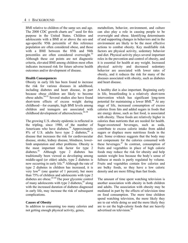#### 4 ◊ BACKGROUND

BMI relative to children of the same sex and age. The 2000 CDC growth charts are $32$  used for this purpose in the United States. Children and adolescents with a BMI at or above the sex-and age-specific 95th percentile of this reference population are often considered obese, and those with a BMI between the 85th and 94th percentiles are often considered overweight.<sup>33</sup> Although these cut points are not diagnostic criteria, elevated BMI among children most often indicates increased risk for future adverse health outcomes and/or development of disease.

#### **Health Consequences**

Obesity in early life has been found to increase the risk for various diseases in adulthood, including diabetes and heart disease, in part because obese children are likely to become obese adults.34-35 Several studies also have found short-term effects of excess weight during childhood—for example, high BMI levels among children and teenagers are associated with childhood development of atherosclerosis.<sup>36-38</sup>

The growing U.S. obesity epidemic is reflected in the tripling, since 1980, of the number of Americans who have diabetes.<sup>39</sup> Approximately  $8\%$  of U.S. adults have type 2 diabetes,  $40$  a disease that increases the risk for cardiovascular disease, stroke, kidney disease, blindness, lowerlimb amputation and other problems. Obesity is the most important risk factor for type 2 diabetes.<sup>41</sup> Although type 2 diabetes has traditionally been viewed as developing among middle-aged (or older) adults, type 2 diabetes is now occurring in early life.42 Although the rate of type 2 diabetes in children has increased, it is very low<sup>42</sup> (one quarter of 1 percent), but more than 75% of children and adolescents with type 2 diabetes are obese. $43-44$  The poor glycemic control of many adolescents with type 2 diabetes,  $45$  along with the increased duration of diabetes diagnosed in early life, may increase the risk of subsequent complications.

#### **Causes of Obesity**

In addition to consuming too many calories and not getting enough physical activity, genes,

metabolism, behavior, environment, and culture can also play a role in causing people to be overweight and obese. Identifying determinants of and supporting changes in behaviors and in the environment are likely to be the most effective actions to combat obesity. Key modifiable risk factors are physical activity, sedentary behavior and diet. Physical activity plays several important roles in the prevention and control of obesity, and it is essential for health at any weight. Increased physical activity and decreased sedentary behavior are associated with lower rates of obesity, and it reduces the risk for many of the diseases associated with obesity, such as diabetes and heart disease.

A healthy diet is also important. Beginning early in life, breastfeeding is a relatively short-term intervention which has significant long-term potential for maintaining a lower BMI.<sup>46</sup> At any stage of life, increased consumption of excess calories from fats and added sugars in foods that are energy dense, such as fast food, is associated with obesity. These foods are relatively higher in calories than nutrients that are needed for health. Sugar-sweetened beverages, such as soda, contribute to excess calorie intake from added sugars or displace more nutritious foods in the diet. Some evidence suggests that the body may not compensate for the calories consumed with these beverages. $47$  In contrast, consumption of fruits and vegetables in place of high calorie foods may reduce the risk for obesity and help sustain weight loss because the body's sense of fullness at meals is partly regulated by volume. Fruits and vegetables contain few calories and are bulky foods, so they have a low caloric density and are more filling than fast foods.

The amount of time spent watching television is another association with obesity in both children and adults. The association with obesity may be mediated in part by the effects of television time on food consumption. The more time children spend watching television, the more likely they are to eat while doing so and the more likely they are to eat the high-calorie foods that are heavily advertised on television.<sup>48</sup>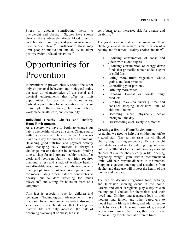Stress is another contributing factor to overweight and obesity. Studies have shown chronic stress adversely affects blood pressure and cholesterol and may lead persons to increase their caloric intake.<sup>49</sup> Furthermore stress may limit people's motivation and ability to adopt positive weight-related behaviors.<sup>50</sup>

## Opportunities for Prevention

Interventions to prevent obesity should focus not only on personal behaviors and biological traits, but also on characteristics of the social and physical environments that offer or limit opportunities for positive health outcomes. Critical opportunities for interventions can occur in multiple settings: home, child care, school, work place, health care, and community.

#### **Individual Healthy Choices and Healthy Home Environments**

As a society, we have to begin to change our habits one healthy choice at a time. Change starts with the individual choices we as Americans make each day for ourselves and those around us. Balancing good nutrition and physical activity while managing daily stressors is always a challenge, but one that can be achieved. Finding time to shop for and prepare healthy meals after work and between family activities requires planning. Stress and a lack of available healthy and affordable foods are some of the reasons why many people turn to fast food as a regular source for meals. Eating excess calories contributes to obesity, but so does watching too much television<sup>48</sup> and sitting for hours in front of a computer.

This fact is especially true for children and teenagers. Technological advancements have made our lives more convenient—but also more sedentary. Research shows that leading an inactive life not only increases the risk of becoming overweight or obese, but also

contributes to an increased risk for disease and  $disability.<sup>51</sup>$ 

The good news is that we can overcome these challenges—and the reward is the creation of a healthy and fit nation. Healthy choices include:<sup>51-</sup> 53

- Reducing consumption of sodas and juices with added sugars.
- Reducing consumption of energy dense foods that primarily contain added sugars or solid fats.
- Eating more fruits, vegetables, whole grains, and lean proteins.
- Controlling your portions.
- Drinking more water.
- Choosing low-fat or non-fat dairy products.
- Limiting television viewing time and consider keeping televisions out of children's rooms.
- Becoming more physically active throughout the day.
- Breastfeeding exclusively to 6 months.

#### **Creating a Healthy Home Environment**

As adults, we need to help our children get off to a good start. The earliest risks for childhood obesity begin during pregnancy. Excess weight gain, diabetes, and smoking during pregnancy are not just health risks for the mother—they also put children at risk for obesity early in life. Keeping pregnancy weight gain within recommended limits will help prevent diabetes in the mother. Stopping cigarette smoking and abstaining from alcohol and drug use will protect the health of the mother and the baby.

The earliest decisions regarding food, activity, and television viewing occur in the home. Parents and other caregivers play a key role in making good choices for themselves and their loved one. Children and teenagers look to their mothers and fathers and other caregivers to model healthy lifestyle habits, and adults need to teach by example. In some households, several generations may live together or have responsibility for children at different times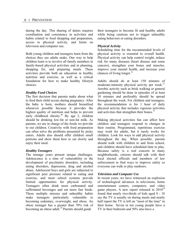during the day. This sharing of duties requires coordination and consistency in activities and habits related to food shopping and preparation, access to physical activity, and limits on television and computer use.

Both young children and teenagers learn from the choices they see adults make. One way to help children learn is to involve all family members in family-based physical activities and in planning, shopping for, and preparing meals. These activities provide both an education in healthy nutrition and exercise, as well as a critical foundation for how to make healthy lifestyle choices.

#### *Healthy Food Choices*

The first decision that parents make about what to feed their child occurs during pregnancy. After the baby is born, mothers should breastfeed whenever possible because it provides the highest quality of nutrition and helps to prevent early childhood obesity.<sup>46</sup> By age 2, children should be drinking low-fat or non-fat milk. As parents, we are in charge of the foods we provide to our children. Creativity with food preparation can often solve the problems presented by picky eaters. Adults also should offer children small portions and show them how to eat slowly and enjoy their meal.

#### *Healthy Teenagers*

The teenage years present unique challenges. Adolescence is a time of vulnerability to the development of psychiatric disorders, including eating disorders, depression, drug and alcohol abuse. Adolescent boys and girls are subjected to significant peer pressure related to eating and exercise, and most school systems provide limited opportunities for physical activity. Teenagers often drink more carbonated and caffeinated beverages and eat more fast foods. These multiple stresses and unhealthy habits make teenagers particularly vulnerable to becoming sedentary, overweight, and obese. An obese teenager has a greater than 70% risk of becoming an obese adult. $34$  Parents should guide

their teenagers to become fit and healthy adults while being cautious not to trigger unhealthy eating behaviors or eating disorders.

#### *Physical Activity*

Scheduling time for the recommended levels of physical activity is essential to overall health. Physical activity can help control weight, reduce risk for many diseases (heart disease and some cancers), strengthen your bones and muscles, improve your mental health, and increase your chances of living longer. $51$ 

Adults should do at least 150 minutes of moderate-intensity physical activity per week.<sup>51</sup> Aerobic activity such as brisk walking or general gardening should be done in episodes of at least 10 minutes and preferably should be spread throughout the week. For children and teenagers, the recommendation is for 1 hour of daily physical activity that includes vigorous activities and activities that strengthen their bones.<sup>51</sup>

Making physical activities fun can affect how children and teenagers respond to changes in their routine. Programmed, repetitious exercise may work for adults, but it rarely works for children. Look for ways to add physical activity throughout the day. When possible, parents should walk with children to and from school, and children should have scheduled time to play. Because safety is a real concern in many neighborhoods, citizens should talk with their local elected officials and members of law enforcement to find ways to improve safety so everyone can walk or play outdoors.

#### *Television and Computer Use*

In recent years, we have witnessed an explosion of technological advances in televisions, home entertainment centers, computers, and video game players. A new report released in  $2010^{54}$ found that nearly two-thirds of kids aged 8 - 18 say the TV is usually on during meals and nearly half report the TV is left on "most of the time" in their home. Seven in ten young people have a TV in their bedroom and 50% also have a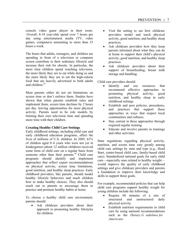console video game player in their room. Overall, 8-18 year-olds spend over 7 hours per day using entertainment media (TV, video games, computers) amounting to more than 53 hours a week.

The hours that adults, teenagers, and children are spending in front of a television or computer screen contribute to their sedentary lifestyle and increase their risk for obesity. In particular, the more time children spend watching television, the more likely they are to eat while doing so and the more likely they are to eat the high-calorie food that are heavily advertised to both adults and children.<sup>55</sup>

Most parents either do not set limitations on screen time or don't enforce them. Studies have shown that when parents establish rules and implement them, screen time declines by 2 hours per day, leaving opportunities for more physical activity. Parents need to be role models by limiting their own television time and spending more time with their children.

#### **Creating Healthy Child Care Settings**

Early childhood settings, including child care and early childhood education programs, affect the lives of millions of U.S. children. In 2005, 61% of children aged 0–6 years who were not yet in kindergarten (about 12 million children) received some form of child care on a regular basis from someone other than their parents.<sup>56</sup> Child care programs should identify and implement approaches that reflect expert recommendations on physical activity, screen time limitations, good nutrition, and healthy sleep practices. Early childhood providers, like parents, should model healthy lifestyle behaviors and teach children how to make healthy choices. They also should reach out to parents to encourage them to practice and promote healthy habits at home.

To choose a healthy child care environment, parents should:

• Ask childcare providers about their approach to promoting healthy lifestyles for children.

- Visit the setting to see how childcare providers model and teach physical activity, good nutrition, and healthy sleep practices.
- Ask childcare providers how they keep parents informed about what they can do at home to support their child's physical activity, good nutrition, and healthy sleep practices.
- Ask childcare providers about their support of breastfeeding, breast milk storage and handling.

Child care providers should:

- Identify and use resources that recommend effective approaches to promoting physical activity, good nutrition, and healthy sleep in early childhood settings.
- Establish and post policies, procedures, and practices that support these approaches in ways that respect local communities and cultures.
- Stay current in these approaches through required regular training.
- Educate and involve parents in trainings and other activities.

State regulations regarding physical activity, nutrition, and screen time vary greatly among child care settings by state and type (e.g., Head Start, center-based child care, family-based child care). Standardized national goals for early child care—especially ones related to healthy weight would improve the quality of early childhood settings and give childcare providers and parents a foundation to improve their knowledge and skills to support these goals.

For example, recommended policies that can help child care programs support healthy weight for young children include the following:

- Require 60 minutes of a mix of structured and unstructured daily physical activity.
- Establish nutrition requirements in child care by using national recommendations such as the *Dietary G uidelines for Americans*.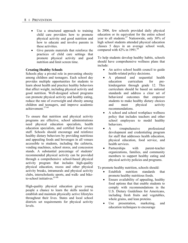- Use a structured approach to training child care providers how to promote physical activity and good nutrition and how to educate and involve parents in these activities.
- Give parents materials that reinforce the practices of child care settings that promote physical activity and good nutrition and limit screen time.

#### **Creating Healthy Schools**

Schools play a pivotal role in preventing obesity among children and teenagers. Each school day provides multiple opportunities for students to learn about health and practice healthy behaviors that affect weight, including physical activity and good nutrition. Well-designed school programs can promote physical activity and healthy eating, reduce the rate of overweight and obesity among children and teenagers, and improve academic achievement.57-64

To ensure that nutrition and physical activity programs are effective, school administrations need physical education specialists, health education specialists, and certified food service staff. Schools should encourage and reinforce healthy dietary behaviors by providing nutritious and appealing foods and beverages in all venues accessible to students, including the cafeteria, vending machines, school stores, and concession stands. A substantial percentage of students' recommended physical activity can be provided through a comprehensive school-based physical activity program that includes high-quality physical education, recess and other physical activity breaks, intramurals and physical activity clubs, interscholastic sports, and walk- and biketo-school initiatives  $65-66$ 

High-quality physical education gives young people a chance to learn the skills needed to establish and maintain physically active lifestyles throughout their lives. States and local school districts set requirements for physical activity levels.

In 2006, few schools provided daily physical education or its equivalent for the entire school year to all students.<sup>67</sup> Nationwide, only 30% of high school students attended physical education classes 5 days in an average school week, compared with  $42\%$  in 1991.<sup>68</sup>

To help students develop healthy habits, schools should have comprehensive wellness plans that include:

- An active school health council to guide health-related policy decisions.
- A planned and sequential health education curriculum for prekindergarten through grade 12. This curriculum should be based on national standards and address a clear set of behavioral outcomes that empower students to make healthy dietary choices and meet physical activity recommendations.
- A school and school workplace wellness policy that includes teachers and other school employees to model healthy behaviors.
- A comprehensive professional development and credentialing program for staff that addresses health education, physical education, food service, and health services.
- Partnerships with parent-teacher organizations, families, and community members to support healthy eating and physical activity policies and programs.

To promote healthy nutrition, schools should:

- Establish nutrition standards that promote healthy nutritious foods.
- Ensure availability of appealing, healthy food options that that enable students to comply with recommendations in the U.S. Dietary Guidelines for Americans, including fresh fruits and vegetables, whole grains, and lean proteins.
- Use presentation, marketing, and education techniques to encourage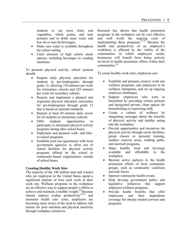students to eat more fruits and vegetables, whole grains, and lean proteins and to drink more water and low-fat or non-fat beverages.

- Make sure water is available throughout the school setting.
- Limit amounts of high calorie snack options, including beverages in vending machines.

To promote physical activity, school systems should:

- Require daily physical education for students in pre-kindergarten through grade 12, allowing 150 minutes per week for elementary schools and 225 minutes per week for secondary schools.
- Require and implement a planned and sequential physical education curriculum for pre-kindergarten through grade 12 that is based on national standards.
- Require at least 20 minutes daily recess for all students in elementary schools.
- Offer students opportunities to participate in intramural physical activity programs during after-school hours.
- Implement and promote walk- and biketo-school programs.
- Establish joint use agreements with local government agencies to allow use of school facilities for physical activity programs offered by the school or community-based organizations outside of school hours.

#### **Creating Healthy Work Sites**

The majority of the 140 million men and women who are employed in the United States spend a significant amount of time each week at their work site. Wellness programs in the workplace are an effective way to support people's efforts to achieve and maintain a healthy weight.<sup>69</sup> Because obesity reduces worker productivity<sup>70-71</sup> and increases health care costs, employers are becoming more aware of the need to address risk factors for poor nutrition and physical inactivity through workplace initiatives.

Research has shown that health promotion programs in the workplace can be cost effective and well worth the ongoing costs of implementing these programs. $72-75$  Because the health and productivity of an employer's workforce is affected by the vitality of the communities in which employees reside, businesses will benefit from being actively involved in health promotion efforts within their communities.<sup>76</sup>

To create healthy work sites, employers can:

- Establish and promote creative work site wellness programs, ask employees to be wellness champions, and set up ongoing employee challenges.
- Support employees who want to breastfeed by providing written policies and designated private, clean spaces for breastfeeding or expressing milk.
- Create a culture of wellness by integrating messages about the benefits of physical activity and healthy eating into the workplace.
- Provide opportunities and incentives for physical activity through onsite facilities, group classes or personal training, outdoor exercise areas, walking paths, and stairwell programs.
- Make healthy food and beverage available and affordable in the workplace.
- Become active partners in the health promotion efforts of local community groups, such as community coalitions and task forces.
- Sponsor community health events.
- Help develop government policy and legislative initiatives that support employee wellness programs.
- Provide health benefits that offer employees and their dependents coverage for obesity-related services and programs.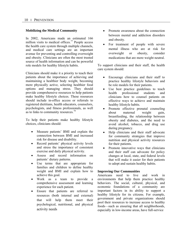#### **Mobilizing the Medical Community**

In 2002, Americans made an estimated 166 million visits to medical offices.<sup>77</sup> People access the health care system through multiple channels, and medical care settings are an important avenue for preventing and controlling overweight and obesity. Clinicians are often the most trusted source of health information and can be powerful role models for healthy lifestyle habits.

Clinicians should make it a priority to teach their patients about the importance of achieving and maintaining a healthier body weight, becoming more physically active, selecting healthier food options and managing stress. They should provide comprehensive resources to help patients make healthy lifestyle choices. These resources should include in-office access or referrals to registered dietitians, health educators, counselors, psychologists, and fitness professionals, as well as to links to community resources.<sup>78</sup>

To help their patients make healthy lifestyle choices, clinicians should:

- Measure patients' BMI and explain the connection between BMI and increased risk for disease and disability.
- Record patients' physical activity levels and stress the importance of consistent exercise and daily physical activity.
- Assess and record information on patients' dietary patterns.
- Use terms that are appropriate for families and children to define healthy weight and BMI and explain how to achieve this goal.
- Work as a team to provide a comprehensive assessment and learning experience for each patient.
- Ensure that patients are referred to resources (both internal and external) that will help them meet their psychological, nutritional, and physical activity needs
- Promote awareness about the connection between mental and addiction disorders and obesity.
- For treatment of people with severe mental illness who are at risk for overweight or obesity, consider medications that are more weight neutral.

To support clinicians and their staff, the health care system should:

- Encourage clinicians and their staff to practice healthy lifestyle behaviors and be role models for their patients.
- Use best practice guidelines to teach health professional students and clinicians how to counsel patients on effective ways to achieve and maintain healthy lifestyle habits.
- Promote effective prenatal counseling about maternal weight gain, breastfeeding, the relationship between obesity and diabetes, and the need to avoid alcohol, tobacco, and drug use during pregnancy.
- Help clinicians and their staff advocate for community strategies that improve nutrition and physical activity resources for their patients.
- Promote innovative ways that clinicians and their staff can advocate for policy changes at local, state, and federal levels that will make it easier for their patients to adopt and sustain healthy habits.

#### **Improving Our Communities**

Americans need to live and work in environments that help them practice healthy behaviors. The social, cultural, physical, and economic foundations of a community are important factors in its ability to support a healthy lifestyle for its citizens. For example, government and private organizations should pool their resources to increase access to healthy foods—such as ensuring that all neighborhoods, especially in low-income areas, have full-service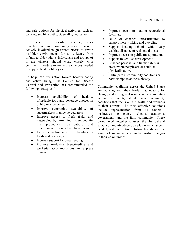and safe options for physical activities, such as walking and bike paths, sidewalks, and parks.

To reverse the obesity epidemic, every neighborhood and community should become actively involved in grassroots efforts to create healthier environments for all citizens, from infants to older adults. Individuals and groups of private citizens should work closely with community leaders to make the changes needed to support healthy lifestyles.

To help lead our nation toward healthy eating and active living, The Centers for Disease Control and Prevention has recommended the following strategies:<sup>79</sup>

- Increase availability of healthy, affordable food and beverage choices in public service venues.
- Improve geographic availability of supermarkets in underserved areas.
- Improve access to fresh fruits and vegetables by providing incentives for the production, distribution, and procurement of foods from local farms.
- Limit advertisements of less-healthy foods and beverages.
- Increase support for breastfeeding.
- Promote exclusive breastfeeding and worksite accommodations to express human milk.
- Improve access to outdoor recreational facilities.
- Build or enhance infrastructures to support more walking and bicycling.
- Support locating schools within easy walking distance of residential areas.
- Improve access to public transportation.
- Support mixed-use development.
- Enhance personal and traffic safety in areas where people are or could be physically active.
- Participate in community coalitions or partnerships to address obesity.

Community coalitions across the United States are working with their leaders, advocating for change, and seeing real results. All communities across the country should have community coalitions that focus on the health and wellness of their citizens. The most effective coalitions include representation from all sectors businesses, clinicians, schools, academia, government, and the faith community. These groups work together to assess the physical and social community, develop a plan when change is needed, and take action. History has shown that grassroots movements can make positive changes in their communities.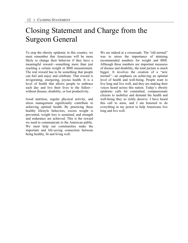### Closing Statement and Charge from the Surgeon General

To stop the obesity epidemic in this country, we must remember that Americans will be more likely to change their behavior if they have a meaningful reward—something more than just reaching a certain weight or BMI measurement. The real reward has to be something that people can feel and enjoy and celebrate. That reward is invigorating, energizing, joyous health. It is a level of health that allows people to embrace each day and live their lives to the fullest without disease, disability, or lost productivity.

Good nutrition, regular physical activity, and stress management significantly contribute to achieving optimal health. By practicing these healthy lifestyle behaviors, excess weight is prevented, weight loss is sustained, and strength and endurance are achieved. This is the reward we need to communicate to the American public. We must help our communities make the important and life-saving connection between being healthy, fit and living well.

We are indeed at a crossroads. The "old normal" was to stress the importance of attaining recommended numbers for weight and BMI. Although these numbers are important measures of disease and disability, the total picture is much bigger. It involves the creation of a "new normal"—an emphasis on achieving an optimal level of health and well-being. People want to live long and live well, and they are making their voices heard across this nation. Today's obesity epidemic calls for committed, compassionate citizens to mobilize and demand the health and well-being they so richly deserve. I have heard this call to arms, and I am honored to do everything in my power to help Americans live long and live well.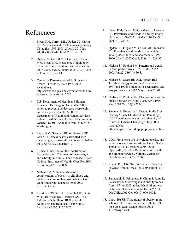### References

- 1. Flegal KM, Carroll MD, Ogden CL, Curtin LR. Prevalence and trends in obesity among US adults, 1999-2008. JAMA. 2010 Jan 20;303(3):235-41. Epub 2010 Jan 13.
- 2. Ogden CL, Carroll MD, Curtin LR, Lamb MM, Flegal KM. Prevalence of high body mass index in US children and adolescents, 2007-2008. JAMA. 2010 Jan 20;303(3):242- 9. Epub 2010 Jan 13.
- 3. Center for Disease Control. U.S. Obesity Trends. Trends by State 1985-2008. Available at http://www.cdc.gov/obesity/data/trends.html. Accessed: January 19, 2010
- 4. U.S. Department of Health and Human Services. The Surgeon General's Call to action to prevent and decrease overweight and obesity. (Rockville, MD): U.S. Department of Health and Human Services, Public Health Service, Office of the Surgeon General; (2001). Available from: U.S. GPO, Washington.
- 5. Flegal KM, Graubard BI, Williamson DF, Gail MH. Excess deaths associated with underweight, overweight, and obesity. JAMA 2005 Apr 20;293(15):1861-7.
- 6. Clinical Guidelines on the Identification, Evaluation, and Treatment of Overweight and Obesity in Adults--The Evidence Report. National Institutes of Health. Obes Res 1998 Sep;6 Suppl 2:51S-209S.
- 7. Nathan BM, Moran A. Metabolic complications of obesity in childhood and adolescence: more than just diabetes. Curr Opin Endocrinol Diabetes Obes 2008 Feb;15(1):21-9.
- 8. Freedman DS, Kettel L, Serdula MK, Dietz WH, Srinivasan SR, Berenson GS. The Relation of Childhood BMI to Adult Adiposity: The Bogalusa Heart Study. Pediactrics 2005; 115;22-27.
- 9. Flegal KM, Carroll MD, Ogden CL, Johnson CL. Prevalence and trends in obesity among US adults, 1999-2000. JAMA 2002 Oct 9; 288(14):1723-7.
- 10. Ogden CL, Flegal KM, Carroll MD, Johnson CL. Prevalence and trends in overweight among US children and adolescents, 1999- 2000. JAMA 2002 Oct 9; 288(14):1728-32.
- 11. Nielsen SJ, Popkin BM. Patterns and trends in food portion sizes, 1977-1998. JAMA 2003 Jan 22; 289(4):450-3.
- 12. Nielsen SJ, Siega-Riz AM, Popkin BM. Trends in energy intake in U.S. between 1977 and 1996: similar shifts seen across age groups. Obes Res 2002 May; 10(5):370-8.
- 13. Nielsen SJ, Popkin BM. Changes in beverage intake between 1977 and 2001. Am J Prev Med 2004 Oct; 27(3):205-10.
- 14. Sindelar R. Recess: Is It Needed in the 21st Century? Early Childhood and Parenting (ECAP) Collaborative at the University of Illinois at Urbana-Champaign. July 2004. Available at http://ceep.crc.uiuc.edu/poptopics/recess.htm l
- 15. CDC. Prevalence of overweight, obesity, and extreme obesity among adults: United States, Trends 1976--80 through 2005--2006. Hyattsville, MD: US Department of Health and Human Services, National Center for Health Statistics, CDC; 2008.
- 16. Rennie KL, Jebb SA. Prevalence of obesity in Great Britain. Obes Rev 2005 Feb;6(1):11- 2.
- 17. Stamatakis E, Primatesta P, Chinn S, Rona R, Falascheti E. Overweight and obesity trends from 1974 to 2003 in English children: what is the role of socioeconomic factors? Arch Dis Child 2005 Oct; 90(10):999-1004.
- 18. Luo J, Hu FB. Time trends of obesity in preschool children in China from 1989 to 1997. Int J Obes Relat Metab Disord 2002 Apr;26(4):553-8.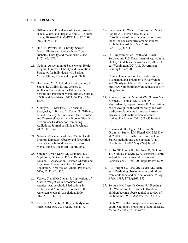- 19. Differences in Prevalence of Obesity Among Black, White, and Hispanic Adults --- United States, 2006—2008. MMWR July 17, 2009 /58(27); 740-744.
- 20. Holt, R., Peveler, R. Obesity, Serious Mental Illness and Antipsychotic Drugs, Diabetes, Obesity and Metabolism 2009; 11(7): 665-679.
- 21. National Association of State Mental Health Program Directors. Obesity and Prevention Strategies for Individuals with Serious Mental Illness, Technical Report. 2008.
- 22. Hoffmann, V., Ahl, J. Meyers, A., Schuh, L. Shults, K. Collins, D, and Jensen, L. Wellness Intervention for Patients with Serious and Persistent Mental Illness, Journal of Clinical Psychiatry, 2005: 66(12): 1576- 1579.
- 23. McIntyre, R., McElroy, S., Konarski, J.; Soczynska, J., Bottas, Al, Castel, S., Wilkins, K. and Kennedy, S. Substance Use Disorders and Overweight/Obesity in Bipolar Disorder: Preliminary Evidence for Competing Addictions, Journal of Clinical Psychiatry 2007: 68; 1352-1357.
- 24. National Association of State Mental Health Program Directors. Obesity and Prevention Strategies for Individuals with Serious Mental Illness, Technical Report. 2008.
- 25. Simon, G., Von Korff, M., Saunders, K., Miglioretti, D., Crane, P. Van Belle, G, and Kessler, R. Association Between Obesity and Psychiatric Disorders in the U.S Adult Population. Archives of General Psychiatry 2006; 63(7): 824-830.
- 26. Varley, C. and McClellan, J. Implications of Marked Weight Gain Associated with Atypical Antipsychotic Medications in Children and Adolescents. Journal of the American Medical Association, 2009; 302(16): 1811-1812.
- 27. Prentice AM, Jebb SA. Beyond body mass index. Obes Rev 2001 Aug;2(3):141-7.
- 28. Freedman DS, Wang J, Thornton JC, Mei Z, Sopher AB, Pierson RN, Jr., et al. Classification of body fatness by body mass index-for-age categories among children. Arch Pediatr Adolesc Med 2009 Sep;163(9):805-11.
- 29. U.S. Department of Health and Human Services and U.S. Department of Agriculture. Dietary Guidelines for Americans, 2005. 6th ed. Washington, DC: U.S. Government Printing Office; 200.
- 30. Clinical Guidelines on the Identification, Evaluation, and Treatment of Overweight and Obesity in Adults: The Evidence Report http://www.nhlbi.nih.gov/guidelines/obesity/ ob\_gdlns.htm
- 31. [Romero-Corral A,](http://www.ncbi.nlm.nih.gov/pubmed?term=%22Romero-Corral%20A%22%5BAuthor%5D&itool=EntrezSystem2.PEntrez.Pubmed.Pubmed_ResultsPanel.Pubmed_RVAbstract) [Montori VM](http://www.ncbi.nlm.nih.gov/pubmed?term=%22Montori%20VM%22%5BAuthor%5D&itool=EntrezSystem2.PEntrez.Pubmed.Pubmed_ResultsPanel.Pubmed_RVAbstract), [Somers VK](http://www.ncbi.nlm.nih.gov/pubmed?term=%22Somers%20VK%22%5BAuthor%5D&itool=EntrezSystem2.PEntrez.Pubmed.Pubmed_ResultsPanel.Pubmed_RVAbstract), [Korinek J](http://www.ncbi.nlm.nih.gov/pubmed?term=%22Korinek%20J%22%5BAuthor%5D&itool=EntrezSystem2.PEntrez.Pubmed.Pubmed_ResultsPanel.Pubmed_RVAbstract), [Thomas RJ](http://www.ncbi.nlm.nih.gov/pubmed?term=%22Thomas%20RJ%22%5BAuthor%5D&itool=EntrezSystem2.PEntrez.Pubmed.Pubmed_ResultsPanel.Pubmed_RVAbstract), [Allison TG,](http://www.ncbi.nlm.nih.gov/pubmed?term=%22Allison%20TG%22%5BAuthor%5D&itool=EntrezSystem2.PEntrez.Pubmed.Pubmed_ResultsPanel.Pubmed_RVAbstract) [Mookadam F](http://www.ncbi.nlm.nih.gov/pubmed?term=%22Mookadam%20F%22%5BAuthor%5D&itool=EntrezSystem2.PEntrez.Pubmed.Pubmed_ResultsPanel.Pubmed_RVAbstract), [Lopez-Jimenez F.](http://www.ncbi.nlm.nih.gov/pubmed?term=%22Lopez-Jimenez%20F%22%5BAuthor%5D&itool=EntrezSystem2.PEntrez.Pubmed.Pubmed_ResultsPanel.Pubmed_RVAbstract) Association of bodyweight with total mortality and with cardiovascular events in coronary artery disease: a systematic review of cohort studies. The Lancet 2006, [368 \(9536](http://www.thelancet.com/journals/lancet/issue/vol368no9536/PIIS0140-6736(06)X6207-4)):666– 678.
- 32. Kuczmarski RJ, Ogden CL, Guo SS, Grummer-Strawn LM, Flegal KM, Mei Z, et al. 2000 CDC Growth Charts for the United States: methods and development. Vital Health Stat 11 2002 May;(246):1-190.
- 33. Krebs NF, Himes JH, Jacobson D, Nicklas TA, Guilday P, Styne D. Assessment of child and adolescent overweight and obesity. Pediatrics 2007 Dec;120 Suppl 4:S193-S228.
- 34. RC, Wright JA, Pepe MS, Seidel KD, Dietz WH. Predicting obesity in young adulthood from childhood and parental obesity. *N Engl J Med* 1997; 37(13):869–873.
- 35. Serdula MK, Ivery D, Coates RJ, Freedman DS. Williamson DF. Byers T. Do obese children become obese adults? A review of the literature. *Prev Med* 1993;22:167–177.
- 36. Dietz W. Health consequences of obesity in youth: Childhood predictors of adult disease. *Pediatrics* 1998;101:518–525.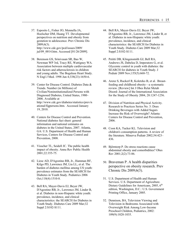- 37. Esposito L, Fisher JO, Mennella JA, Hoelscher DM, Huang TT. Developmental perspectives on nutrition and obesity from gestation to adolescence. Prev Chronic Dis 2009;6(3). http://www.cdc.gov/pcd/issues/2009/ jul/09\_0014.htm. Accessed [01/26/2009].
- 38. Berenson GS, Srinivasan SR, Bao W, Newman WP 3rd, Tracy RE, Wattigney WA. Association between multiple cardiovascular risk factors and atherosclerosis in children and young adults. The Bogalusa Heart Study. N Engl J Med. 1998 Jun 4;338(23):1650-6.
- 39. Center for Disease Control. Diabetes Data & Trends. Number (in Millions) of Civilian/Noninstitutionalized Persons with Diagnosed Diabetes, United States, 1980– 2006. Available at http://www.cdc.gov/diabetes/statistics/prev/n ational/figpersons.htm. Accessed January 19, 2010.
- 40. Centers for Disease Control and Prevention. National diabetes fact sheet: general information and national estimates on diabetes in the United States, 2007. Atlanta, GA: U.S. Department of Health and Human Services, Centers for Disease Control and Prevention, 2008.
- 41. Visscher TL, Seidell JC. The public health impact of obesity. Annu Rev Public Health 2001;22:355-75.
- 42. Liese AD, D'Agostino RB, Jr., Hamman RF, Kilgo PD, Lawrence JM, Liu LL, et al. The burden of diabetes mellitus among US youth: prevalence estimates from the SEARCH for Diabetes in Youth Study. Pediatrics 2006 Oct;118(4):1510-8.
- 43. Bell RA, Mayer-Davis EJ, Beyer JW, D'Agostino RB, Jr., Lawrence JM, Linder B, et al. Diabetes in non-Hispanic white youth: prevalence, incidence, and clinical characteristics: the SEARCH for Diabetes in Youth Study. Diabetes Care 2009 Mar;32 Suppl 2:S102-S111.
- 44. Bell RA, Mayer-Davis EJ, Beyer JW, D'Agostino RB, Jr., Lawrence JM, Linder B, et al. Diabetes in non-Hispanic white youth: prevalence, incidence, and clinical characteristics: the SEARCH for Diabetes in Youth Study. Diabetes Care 2009 Mar;32 Suppl 2:S102-S111.
- 45. Petitti DB, Klingensmith GJ, Bell RA, Andrews JS, Dabelea D, Imperatore G, et al. Glycemic control in youth with diabetes: the SEARCH for diabetes in Youth Study. J Pediatr 2009 Nov;155(5):668-72.
- 46. Arenz S, Ruckerl R, Koletzko B, et al. Breastfeeding and childhood obesity—a systematic review. [Review] Int J Obes Relat Metab Disord: Journal of the International Association for the Study of Obesity 2004, 28:1247-1256.
- 47. Division of Nutrition and Physical Activity. Research to Practices Series No. 3: Does Drinking Beverages with Added Sugars Increase the Risk of Overweight? Atlanta: Centers for Disease Control and Prevention, 2006.
- 48. Coon KA, Tucker KL. Television and children's consumption patterns. A review of the literature. Minerva Pediatr 2002;54:423– 436.
- 49. Björntorp P. [Do stress reactions cause](http://www.ncbi.nlm.nih.gov/pubmed/12119665?ordinalpos=1&itool=EntrezSystem2.PEntrez.Pubmed.Pubmed_ResultsPanel.Pubmed_RVDocSum)  [abdominal obesity and comorbidities?](http://www.ncbi.nlm.nih.gov/pubmed/12119665?ordinalpos=1&itool=EntrezSystem2.PEntrez.Pubmed.Pubmed_ResultsPanel.Pubmed_RVDocSum) Obes Rev 2001;2(2):73-86.
- 50. Braveman P. A health disparities perspective on obesity research. Prev Chronic Dis 2009;6(3).
- 51. U.S. Department of Health and Human Services. U.S. Department of Agriculture. Dietary Guidelines for Americans, 2005, 6<sup>th</sup> edition, Washington, D.C.: U.S. Government Printing Office, January 2005.
- 52. Dennison, BA, Television Viewing and Television in Bedrooms Associated with Overweight Risk Among Low-Income Preschool Children, Pediatrics, 2002: 109(9):1028-1035.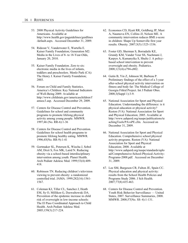- 53. 2008 Physical Activity Guidelines for Americans. Available at http://www.health.gov/paguidelines/guidlines /default.aspx. Accessed December 31, 2009.
- 54. Rideout V, Vanderwater E, Wartella E. Kaiser Family Foundation; Generation M2: Media in the Lives of 8- to 18-Year-Olds, January 20, 2010.
- 55. Kaiser Family Foundation. Zero to six: electronic media in the lives of infants, toddlers and preschoolers. Menlo Park (CA): The Henry J. Kaiser Family Foundation; 2003.
- 56. Forum on Child and Family Statistics. America's Children: Key National Indicators of Well-Being 2009. Available at [http://www.childstats.gov/americaschildren/f](http://www.childstats.gov/americaschildren/famsoc3.asp) [amsoc3.asp](http://www.childstats.gov/americaschildren/famsoc3.asp). Accessed December 29, 2009.
- 57. Centers for Disease Control and Prevention. Guidelines for school and community programs to promote lifelong physical activity among young people. MMWR. 1997;46 (No. RR-6):1-36
- 58. Centers for Disease Control and Prevention. Guidelines for school health programs to promote lifelong healthy eating. MMWR. 1996;45(No. RR-9):1-41
- 59. Gortmaker SL, Peterson K, Wiecha J, Sobol AM, Dixit S, Fox MK, Laird N. Reducing obesity via a school-based interdisciplinary intervention among youth: Planet Health. Arch Pediatr Adolesc Med. 1999;53(4):409- 418.
- 60. Robinson TN. Reducing children's television viewing to prevent obesity: a randomized controlled trial. JAMA. 1999;282(16):1561- 1567.
- 61. Coleman KJ, Tiller CL, Sanchez J, Heath EM, Sy O, Milliken G, Dzewaltowski DA. Prevention of the epidemic increase in child risk of overweight in low-income schools: The El Paso Coordinated Approach to Child Health. Arch Pediatr Adolesc Med. 2005;159(3):217-224.
- 62. Economos CD, Hyatt RR, Goldberg JP, Must A, Naumova EN, Collins JJ, Nelson ME. A community intervention reduces BMI z-score in children: Shape Up Somerville first year results. Obesity. 2007;5(5):1325-1336.
- 63. Foster GD, Sherman S, Borradaile KE, Grundy KM, Vander Veur SS, Nachmani J, Karpyn A, Kumanyika S, Shultz J. A policybased school intervention to prevent overweight and obesity. Pediatrics. 2008;121(4):e794-e802.
- 64. Gutin B, Yin Z, Johnson M, Barbeau P. Preliminary findings of the effect of a 3-year after-school physical activity intervention on fitness and body fat: The Medical College of Georgia Fitkid Project. Int J Pediatr Obes. 2008;3(Suppl 1):3-9.
- 65. National Association for Sport and Physical Education. Understanding the difference: is it physical education or physical activity? Reston (VA): National Association for Sport and Physical Education; 2005. Available at http://www.aahperd.org/naspe/publications/te achingTools/PAvsPE.cfm. Accessed on December 31, 2009.
- 66. National Association for Sport and Physical Education. Comprehensive school physical activity programs. Reston (VA): National Association for Sport and Physical Education; 2008. Available at http://www.aahperd.org/naspe/standards/uplo ad/Comprehensive-School-Physical-Activity-Programs-2008.pdf. Accessed on December 31, 2009.
- 67. Lee SM, Burgeson CR, Fulton JE, Spain CC. Physical education and physical activity: results from the School Health Policies and Programs Study 2006. J Sch Health. 2007;77(8):435-463.
- 68. Centers for Disease Control and Prevention. Youth Risk Behavior Surveillance — United States, 2007. Surveillance Summaries, 2008. MMWR. 2008;57(No. SS–4):1-131.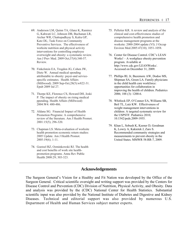- 69. Anderson LM, Quinn TA, Glanz K, Ramirez G, Kahwati LC, Johnson DB, Buchanan LR, Archer WR, Chattopadhyay S, Kalra GP, Katz DL; Task Force on Community Preventive Services. The effectiveness of worksite nutrition and physical activity interventions for controlling employee overweight and obesity: a systematic review. Am J Prev Med. 2009 Oct;37(4):340-57. Review.
- 70. Finkelstein EA, Trogdon JG, Cohen JW, Dietz W. Annual medical spending attributable to obesity: payer-and servicespecific estimates. Health Affairs (Millwood). 2009 Sep-Oct;28(5):w822-31. Epub 2009 Jul 27.
- 71. Thorpe KE, Florence CS, Howard DH, Joski P. The impact of obesity on rising medical ppending. Health Affairs (Millwood) 2004:W4: 480-486.
- 72. Aldana SG. Financial Impact of Health Promotion Programs: A comprehensive review of the literature. Am J Health Promot. 2001:15(5); 296-320.
- 73. Chapman LS. Meta-evaluation of worksite health promotion economic return studies: 2005 Update. Am J Health Promot. 2005:19(6); 1-11.
- 74. Goetzel RZ, Ozminkowski RJ. The health and cost benefits of work site healthpromotion programs. Annu Rev Public Health 2008:29; 303-323.
- 75. Pelletier KR. A review and analysis of the clinical and cost-effectiveness studies of comprehensive health promotion and disease management programs at the worksite: 2000-2004 update (VI). J Occup Environ Med.2005:47(10); 1051-1058.
- 76. Center for Disease Control. CDC's LEAN Works! – A workplace obesity prevention program. Available at http://www.cdc.gov/LEANWorks/. Accessed on December 31, 2009.
- 77. Phillips RL Jr, Bazemore AW, Dodoo MS, Shipman SA, Green LA. Family physicians in the child health care workforce: opportunities for collaboration in improving the health of children. Pediatrics 2006; 188 (3): 1200-6.
- 78. Whitlock EP, O'Connor EA, Williams SB, Beil TL, Lutz KW. Effectiveness of weight management interventions in children: A targeted systematic review for the USPSTF. Pediatrics 2010; 10.1542/peds.2009-1955.
- 79. Khan L, Sobush K, Keener D, Goodman K, Lowry A, Kakietek J, Zaro S. Recommended community strategies and measurements to prevent obesity in the United States. MMWR 58:RR-7, 2009.

#### **Acknowledgements**

The Surgeon General's Vision for a Healthy and Fit Nation was developed by the Office of the Surgeon General. Critical scientific oversight and writing support was provided by the Centers for Disease Control and Prevention (CDC) Division of Nutrition, Physical Activity, and Obesity. Data and analysis was provided by the (CDC) National Center for Health Statistics. Substantial scientific input was also provided by the National Institute of Diabetes and Digestive and Kidney Diseases. Technical and editorial support was also provided by numerous U.S. Department of Health and Human Services subject matter experts.